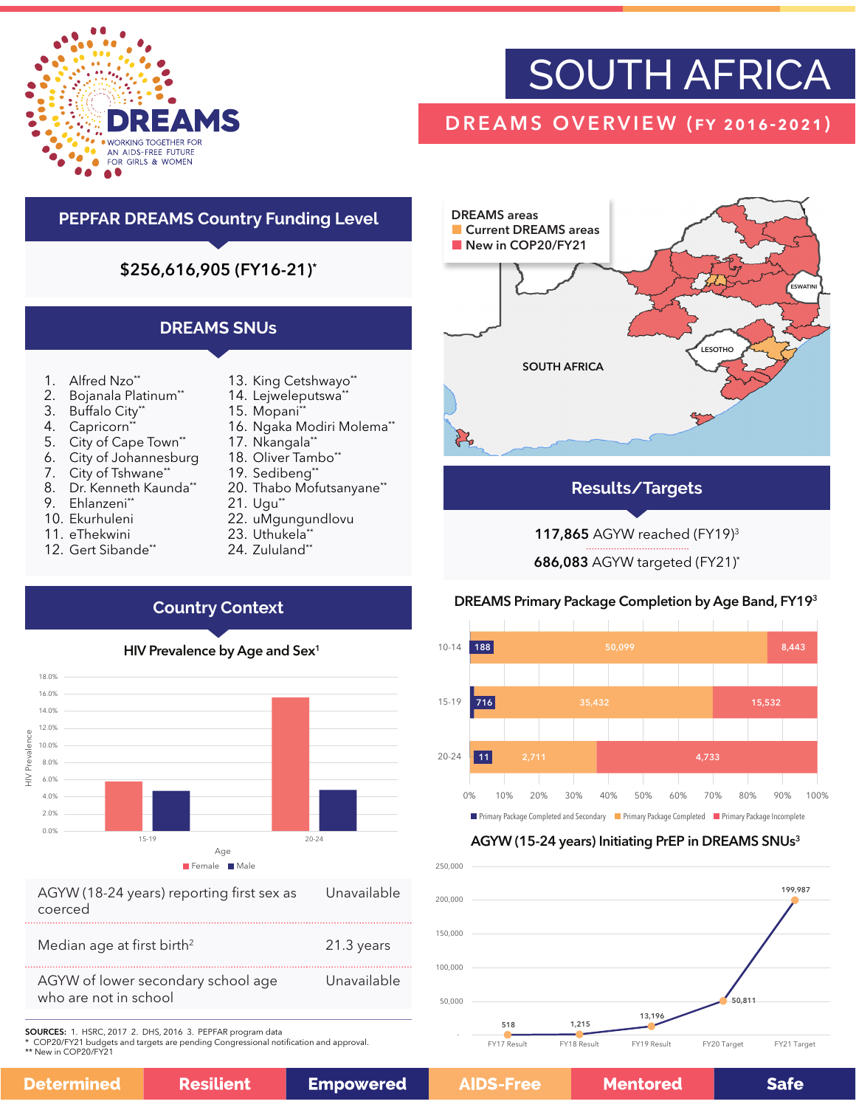

# SOUTH AFRICA

# DREAMS OVERVIEW (fy 2016-2021)

# **PEPFAR DREAMS Country Funding Level**

\$256,616,905 (FY16-21)\*

# **DREAMS SNUs**

- 1. Alfred Nzo\*\*
- 2. Bojanala Platinum\*\*
- 3. Buffalo City\*\*
- 4. Capricorn<sup>\*</sup>
- 5. City of Cape Town\*\*
- 6. City of Johannesburg
- 7. City of Tshwane\*\*
- 8. Dr. Kenneth Kaunda\*\*
- 9. Ehlanzeni\*\*
- 10. Ekurhuleni
- 11. eThekwini
- 12. Gert Sibande\*\*
- 13. King Cetshwayo\*\*
- 14. Lejweleputswa\*
- 15. Mopani\*\* 16. Ngaka Modiri Molema\*\*
- 17. Nkangala\*\*
- 18. Oliver Tambo\*\*
- 19. Sedibeng\*\*
- 20. Thabo Mofutsanyane\*\*
- 21. Ugu\*\*
- 22. uMgungundlovu
- 23. Uthukela\*\*
- 24. Zululand\*\*



**Results/Targets**

# 117,865 AGYW reached (FY19)3

686,083 AGYW targeted (FY21)\*

# DREAMS Primary Package Completion by Age Band, FY193



# AGYW (15-24 years) Initiating PrEP in DREAMS SNUs<sup>3</sup>



# **Country Context**



| AGYW (18-24 years) reporting first sex as | Unavailable |
|-------------------------------------------|-------------|
| coerced                                   |             |
|                                           |             |
| Median age at first birth <sup>2</sup>    | 21.3 years  |

AGYW of lower secondary school age who are not in school Unavailable

**Resilient** 

SOURCES: 1. HSRC, 2017 2. DHS, 2016 3. PEPFAR program data

\* COP20/FY21 budgets and targets are pending Congressional notification and approval.

\*\* New in COP20/FY21

| Determined |  |
|------------|--|
|            |  |
|            |  |

**Empowered** 

**Mentored** 

**Safe**